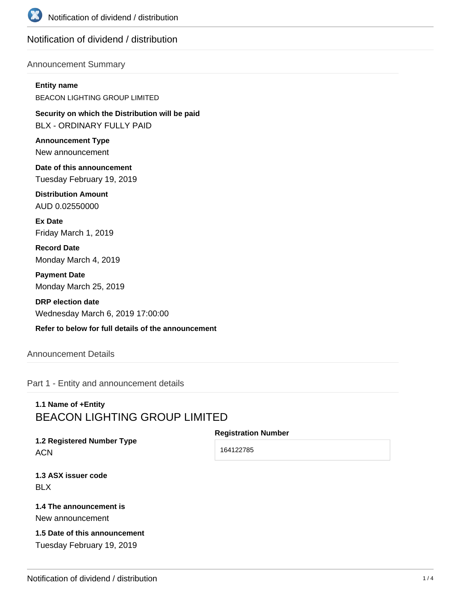

# Notification of dividend / distribution

### Announcement Summary

#### **Entity name**

BEACON LIGHTING GROUP LIMITED

**Security on which the Distribution will be paid** BLX - ORDINARY FULLY PAID

**Announcement Type** New announcement

**Date of this announcement** Tuesday February 19, 2019

**Distribution Amount** AUD 0.02550000

**Ex Date** Friday March 1, 2019

**Record Date** Monday March 4, 2019

**Payment Date** Monday March 25, 2019

**DRP election date** Wednesday March 6, 2019 17:00:00

### **Refer to below for full details of the announcement**

### Announcement Details

Part 1 - Entity and announcement details

# **1.1 Name of +Entity** BEACON LIGHTING GROUP LIMITED

#### **Registration Number**

**1.2 Registered Number Type ACN** 

164122785

**1.3 ASX issuer code** BLX

### **1.4 The announcement is** New announcement

**1.5 Date of this announcement** Tuesday February 19, 2019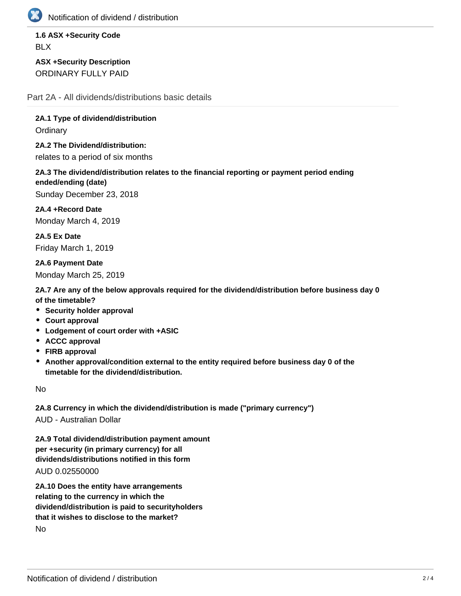

Notification of dividend / distribution

**1.6 ASX +Security Code** BLX

**ASX +Security Description** ORDINARY FULLY PAID

Part 2A - All dividends/distributions basic details

**2A.1 Type of dividend/distribution**

**Ordinary** 

**2A.2 The Dividend/distribution:** relates to a period of six months

**2A.3 The dividend/distribution relates to the financial reporting or payment period ending ended/ending (date)**

Sunday December 23, 2018

**2A.4 +Record Date** Monday March 4, 2019

**2A.5 Ex Date** Friday March 1, 2019

**2A.6 Payment Date** Monday March 25, 2019

**2A.7 Are any of the below approvals required for the dividend/distribution before business day 0 of the timetable?**

- **Security holder approval**
- **Court approval**
- **Lodgement of court order with +ASIC**
- **ACCC approval**
- **FIRB approval**
- **Another approval/condition external to the entity required before business day 0 of the timetable for the dividend/distribution.**

No

**2A.8 Currency in which the dividend/distribution is made ("primary currency")**

AUD - Australian Dollar

**2A.9 Total dividend/distribution payment amount per +security (in primary currency) for all dividends/distributions notified in this form** AUD 0.02550000

**2A.10 Does the entity have arrangements relating to the currency in which the dividend/distribution is paid to securityholders that it wishes to disclose to the market?** No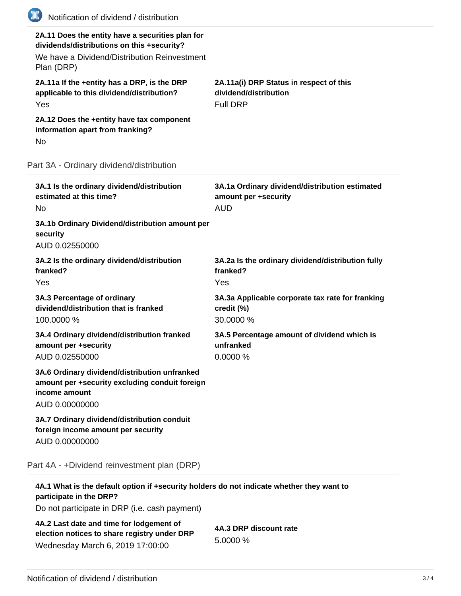| (XX)<br>Notification of dividend / distribution                                                                                                              |                                                                                      |
|--------------------------------------------------------------------------------------------------------------------------------------------------------------|--------------------------------------------------------------------------------------|
| 2A.11 Does the entity have a securities plan for<br>dividends/distributions on this +security?<br>We have a Dividend/Distribution Reinvestment<br>Plan (DRP) |                                                                                      |
| 2A.11a If the +entity has a DRP, is the DRP<br>applicable to this dividend/distribution?<br>Yes                                                              | 2A.11a(i) DRP Status in respect of this<br>dividend/distribution<br><b>Full DRP</b>  |
| 2A.12 Does the +entity have tax component<br>information apart from franking?<br>No                                                                          |                                                                                      |
| Part 3A - Ordinary dividend/distribution                                                                                                                     |                                                                                      |
| 3A.1 Is the ordinary dividend/distribution<br>estimated at this time?<br>No.                                                                                 | 3A.1a Ordinary dividend/distribution estimated<br>amount per +security<br><b>AUD</b> |
| 3A.1b Ordinary Dividend/distribution amount per<br>security<br>AUD 0.02550000                                                                                |                                                                                      |
| 3A.2 Is the ordinary dividend/distribution<br>franked?<br>Yes                                                                                                | 3A.2a Is the ordinary dividend/distribution fully<br>franked?<br>Yes                 |
| 3A.3 Percentage of ordinary<br>dividend/distribution that is franked<br>100.0000 %                                                                           | 3A.3a Applicable corporate tax rate for franking<br>credit (%)<br>30.0000 %          |
| 3A.4 Ordinary dividend/distribution franked<br>amount per +security<br>AUD 0.02550000                                                                        | 3A.5 Percentage amount of dividend which is<br>unfranked<br>0.0000 %                 |
| 3A.6 Ordinary dividend/distribution unfranked<br>amount per +security excluding conduit foreign<br>income amount<br>AUD 0.00000000                           |                                                                                      |
| 3A.7 Ordinary dividend/distribution conduit<br>foreign income amount per security<br>AUD 0.00000000                                                          |                                                                                      |
| Part 4A - +Dividend reinvestment plan (DRP)                                                                                                                  |                                                                                      |
| 4A.1 What is the default option if +security holders do not indicate whether they want to<br>participate in the DRP?                                         |                                                                                      |

Do not participate in DRP (i.e. cash payment)

**4A.2 Last date and time for lodgement of election notices to share registry under DRP** Wednesday March 6, 2019 17:00:00

**4A.3 DRP discount rate** 5.0000 %